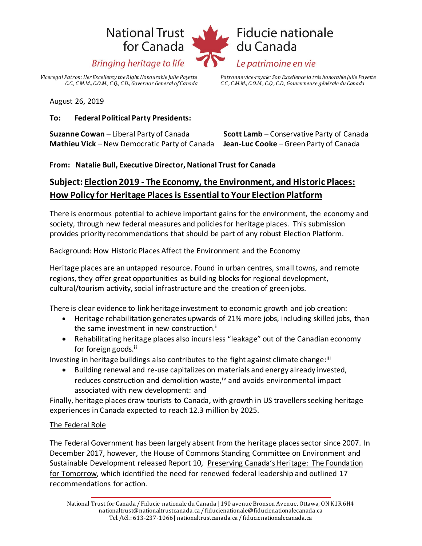# **National Trust** for Canada **Bringing heritage to life**



*Viceregal Patron: Her Excellency the Right Honourable Julie Payette C.C., C.M.M., C.O.M., C.Q., C.D., Governor General of Canada*  *Patronne vice-royale: Son Excellence la très honorable Julie Payette C.C., C.M.M., C.O.M., C.Q., C.D., Gouverneure générale du Canada*

August 26, 2019

### **To: Federal Political Party Presidents:**

**Suzanne Cowan** – Liberal Party of Canada **Scott Lamb** – Conservative Party of Canada **Mathieu Vick** – New Democratic Party of Canada **Jean-Luc Cooke** – Green Party of Canada

### **From: Natalie Bull, Executive Director, National Trust for Canada**

# **Subject: Election 2019 - The Economy, the Environment, and Historic Places: How Policy for Heritage Places is Essential to Your Election Platform**

There is enormous potential to achieve important gains for the environment, the economy and society, through new federal measures and policies for heritage places. This submission provides priority recommendations that should be part of any robust Election Platform.

### Background: How Historic Places Affect the Environment and the Economy

Heritage places are an untapped resource. Found in urban centres, small towns, and remote regions, they offer great opportunities as building blocks for regional development, cultural/tourism activity, social infrastructure and the creation of green jobs.

There is clear evidence to link heritage investment to economic growth and job creation:

- Heritage rehabilitation generates upwards of 21% more jobs, including skilled jobs, than the same investment in new construction.**<sup>i</sup>**
- Rehabilitating heritage places also incurs less "leakage" out of the Canadian economy for foreign goods.**ii**

Investing in heritage buildings also contributes to the fight against climate change:<sup>iii</sup>

• Building renewal and re-use capitalizes on materials and energy already invested, reduces construction and demolition waste, <sup>iv</sup> and avoids environmental impact associated with new development: and

Finally, heritage places draw tourists to Canada, with growth in US travellers seeking heritage experiences in Canada expected to reach 12.3 million by 2025.

### The Federal Role

The Federal Government has been largely absent from the heritage places sector since 2007. In December 2017, however, the House of Commons Standing Committee on Environment and Sustainable Development released Report 10, Preserving Canada's Heritage: The Foundation for Tomorrow, which identified the need for renewed federal leadership and outlined 17 recommendations for action.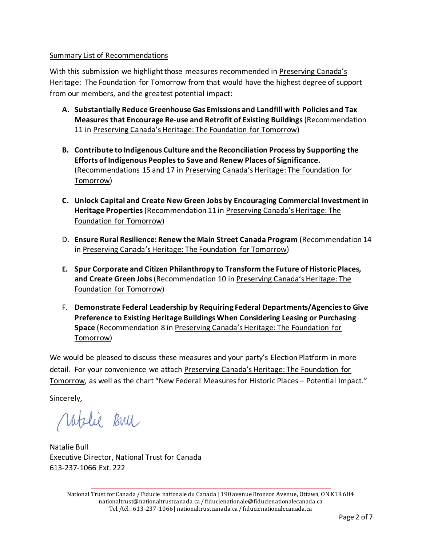### Summary List of Recommendations

With this submission we highlight those measures recommended in Preserving Canada's Heritage: The Foundation for Tomorrow from that would have the highest degree of support from our members, and the greatest potential impact:

- **A. Substantially Reduce Greenhouse Gas Emissions and Landfill with Policies and Tax Measures that Encourage Re-use and Retrofit of Existing Buildings** (Recommendation 11 in Preserving Canada's Heritage: The Foundation for Tomorrow)
- **B. Contribute to Indigenous Culture and the Reconciliation Process by Supporting the Efforts of Indigenous Peoples to Save and Renew Places of Significance.** (Recommendations 15 and 17 in Preserving Canada's Heritage: The Foundation for Tomorrow)
- **C. Unlock Capital and Create New Green Jobs by Encouraging Commercial Investment in Heritage Properties**(Recommendation 11 in Preserving Canada's Heritage: The Foundation for Tomorrow)
- D. **Ensure Rural Resilience: Renew the Main Street Canada Program** (Recommendation 14 in Preserving Canada's Heritage: The Foundation for Tomorrow)
- **E. Spur Corporate and Citizen Philanthropy to Transform the Future of Historic Places, and Create Green Jobs**(Recommendation 10 in Preserving Canada's Heritage: The Foundation for Tomorrow)
- F. **Demonstrate Federal Leadership by Requiring Federal Departments/Agencies to Give Preference to Existing Heritage Buildings When Considering Leasing or Purchasing Space** (Recommendation 8 in Preserving Canada's Heritage: The Foundation for Tomorrow)

We would be pleased to discuss these measures and your party's Election Platform in more detail. For your convenience we attach Preserving Canada's Heritage: The Foundation for Tomorrow, as well as the chart "New Federal Measures for Historic Places – Potential Impact."

Sincerely,

Natolie Bull

Natalie Bull Executive Director, National Trust for Canada 613-237-1066 Ext. 222

National Trust for Canada / Fiducie nationale du Canada | 190 avenue Bronson Avenue, Ottawa, ON K1R 6H4 nationaltrust@nationaltrustcanada.ca / fiducienationale@fiducienationalecanada.ca Tel./tél.: 613-237-1066 | nationaltrustcanada.ca / fiducienationalecanada.ca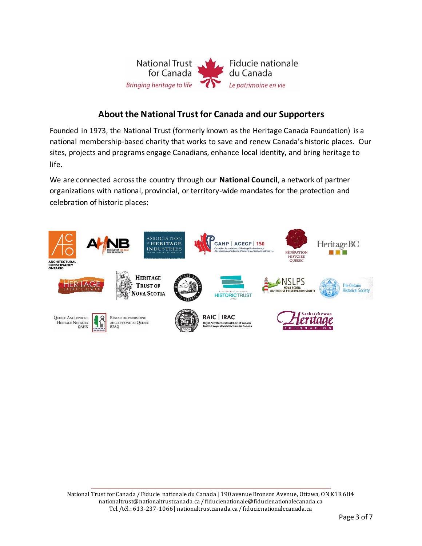

# **About the National Trust for Canada and our Supporters**

Founded in 1973, the National Trust (formerly known as the Heritage Canada Foundation) is a national membership-based charity that works to save and renew Canada's historic places. Our sites, projects and programs engage Canadians, enhance local identity, and bring heritage to life.

We are connected across the country through our **National Council**, a network of partner organizations with national, provincial, or territory-wide mandates for the protection and celebration of historic places:

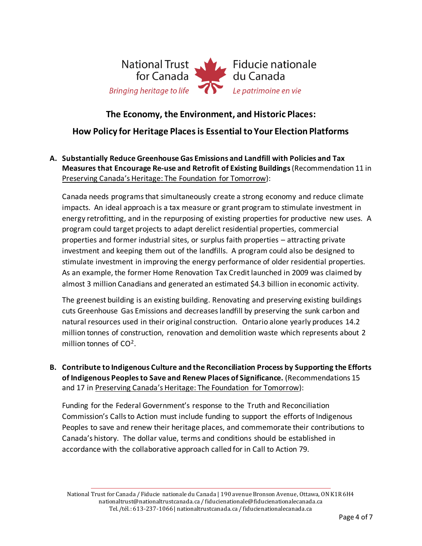

### **The Economy, the Environment, and Historic Places:**

### **How Policy for Heritage Places is Essential to Your Election Platforms**

**A. Substantially Reduce Greenhouse Gas Emissions and Landfill with Policies and Tax Measures that Encourage Re-use and Retrofit of Existing Buildings** (Recommendation 11 in Preserving Canada's Heritage: The Foundation for Tomorrow):

Canada needs programs that simultaneously create a strong economy and reduce climate impacts. An ideal approach is a tax measure or grant program to stimulate investment in energy retrofitting, and in the repurposing of existing properties for productive new uses. A program could target projects to adapt derelict residential properties, commercial properties and former industrial sites, or surplus faith properties – attracting private investment and keeping them out of the landfills. A program could also be designed to stimulate investment in improving the energy performance of older residential properties. As an example, the former Home Renovation Tax Credit launched in 2009 was claimed by almost 3 million Canadians and generated an estimated \$4.3 billion in economic activity.

The greenest building is an existing building. Renovating and preserving existing buildings cuts Greenhouse Gas Emissions and decreases landfill by preserving the sunk carbon and natural resources used in their original construction. Ontario alone yearly produces 14.2 million tonnes of construction, renovation and demolition waste which represents about 2 million tonnes of  $CO<sup>2</sup>$ .

**B. Contribute to Indigenous Culture and the Reconciliation Process by Supporting the Efforts of Indigenous Peoples to Save and Renew Places of Significance.** (Recommendations 15 and 17 in Preserving Canada's Heritage: The Foundation for Tomorrow):

Funding for the Federal Government's response to the Truth and Reconciliation Commission's Calls to Action must include funding to support the efforts of Indigenous Peoples to save and renew their heritage places, and commemorate their contributions to Canada's history. The dollar value, terms and conditions should be established in accordance with the collaborative approach called for in Call to Action 79.

National Trust for Canada / Fiducie nationale du Canada | 190 avenue Bronson Avenue, Ottawa, ON K1R 6H4 nationaltrust@nationaltrustcanada.ca / fiducienationale@fiducienationalecanada.ca Tel./tél.: 613-237-1066 | nationaltrustcanada.ca / fiducienationalecanada.ca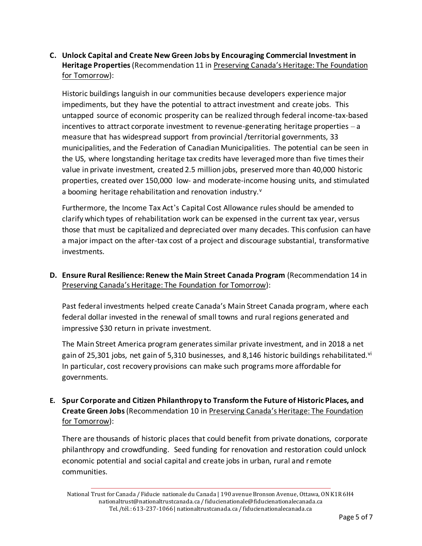### **C. Unlock Capital and Create New Green Jobs by Encouraging Commercial Investment in Heritage Properties**(Recommendation 11 in Preserving Canada's Heritage: The Foundation for Tomorrow):

Historic buildings languish in our communities because developers experience major impediments, but they have the potential to attract investment and create jobs. This untapped source of economic prosperity can be realized through federal income-tax-based incentives to attract corporate investment to revenue-generating heritage properties – a measure that has widespread support from provincial /territorial governments, 33 municipalities, and the Federation of Canadian Municipalities. The potential can be seen in the US, where longstanding heritage tax credits have leveraged more than five times their value in private investment, created 2.5 million jobs, preserved more than 40,000 historic properties, created over 150,000 low- and moderate-income housing units, and stimulated a booming heritage rehabilitation and renovation industry.<sup>v</sup>

Furthermore, the Income Tax Act's Capital Cost Allowance rules should be amended to clarify which types of rehabilitation work can be expensed in the current tax year, versus those that must be capitalized and depreciated over many decades. This confusion can have a major impact on the after-tax cost of a project and discourage substantial, transformative investments.

**D. Ensure Rural Resilience: Renew the Main Street Canada Program** (Recommendation 14 in Preserving Canada's Heritage: The Foundation for Tomorrow):

Past federal investments helped create Canada's Main Street Canada program, where each federal dollar invested in the renewal of small towns and rural regions generated and impressive \$30 return in private investment.

The Main Street America program generates similar private investment, and in 2018 a net gain of 25,301 jobs, net gain of 5,310 businesses, and 8,146 historic buildings rehabilitated.<sup>vi</sup> In particular, cost recovery provisions can make such programs more affordable for governments.

**E. Spur Corporate and Citizen Philanthropy to Transform the Future of Historic Places, and Create Green Jobs**(Recommendation 10 in Preserving Canada's Heritage: The Foundation for Tomorrow):

There are thousands of historic places that could benefit from private donations, corporate philanthropy and crowdfunding. Seed funding for renovation and restoration could unlock economic potential and social capital and create jobs in urban, rural and remote communities.

National Trust for Canada / Fiducie nationale du Canada | 190 avenue Bronson Avenue, Ottawa, ON K1R 6H4 nationaltrust@nationaltrustcanada.ca / fiducienationale@fiducienationalecanada.ca Tel./tél.: 613-237-1066 | nationaltrustcanada.ca / fiducienationalecanada.ca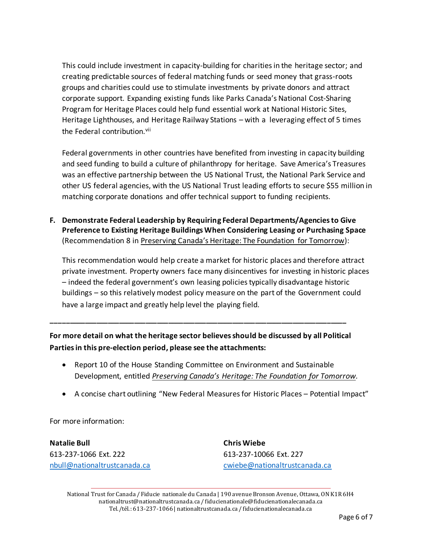This could include investment in capacity-building for charities in the heritage sector; and creating predictable sources of federal matching funds or seed money that grass-roots groups and charities could use to stimulate investments by private donors and attract corporate support. Expanding existing funds like Parks Canada's National Cost-Sharing Program for Heritage Places could help fund essential work at National Historic Sites, Heritage Lighthouses, and Heritage Railway Stations – with a leveraging effect of 5 times the Federal contribution.<sup>vii</sup>

Federal governments in other countries have benefited from investing in capacity building and seed funding to build a culture of philanthropy for heritage. Save America's Treasures was an effective partnership between the US National Trust, the National Park Service and other US federal agencies, with the US National Trust leading efforts to secure \$55 million in matching corporate donations and offer technical support to funding recipients.

**F. Demonstrate Federal Leadership by Requiring Federal Departments/Agencies to Give Preference to Existing Heritage Buildings When Considering Leasing or Purchasing Space**  (Recommendation 8 in Preserving Canada's Heritage: The Foundation for Tomorrow):

This recommendation would help create a market for historic places and therefore attract private investment. Property owners face many disincentives for investing in historic places – indeed the federal government's own leasing policies typically disadvantage historic buildings – so this relatively modest policy measure on the part of the Government could have a large impact and greatly help level the playing field.

# **For more detail on what the heritage sector believes should be discussed by all Political Parties in this pre-election period, please see the attachments:**

**\_\_\_\_\_\_\_\_\_\_\_\_\_\_\_\_\_\_\_\_\_\_\_\_\_\_\_\_\_\_\_\_\_\_\_\_\_\_\_\_\_\_\_\_\_\_\_\_\_\_\_\_\_\_\_\_\_\_\_\_\_\_\_\_\_\_\_\_\_\_\_\_\_\_\_\_\_\_**

- Report 10 of the House Standing Committee on Environment and Sustainable Development, entitled *Preserving Canada's Heritage: The Foundation for Tomorrow.*
- A concise chart outlining "New Federal Measures for Historic Places Potential Impact"

For more information:

**Natalie Bull** 613-237-1066 Ext. 222 nbull@nationaltrustcanada.ca **Chris Wiebe** 613-237-10066 Ext. 227 cwiebe@nationaltrustcanada.ca

National Trust for Canada / Fiducie nationale du Canada | 190 avenue Bronson Avenue, Ottawa, ON K1R 6H4 nationaltrust@nationaltrustcanada.ca / fiducienationale@fiducienationalecanada.ca Tel./tél.: 613-237-1066 | nationaltrustcanada.ca / fiducienationalecanada.ca